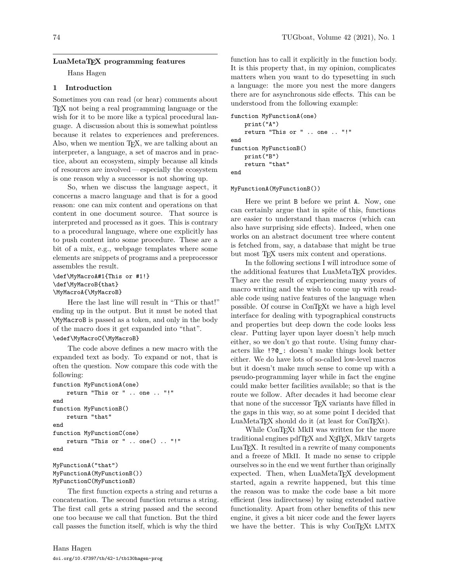### **LuaMetaTEX programming features**

Hans Hagen

# **1 Introduction**

Sometimes you can read (or hear) comments about TEX not being a real programming language or the wish for it to be more like a typical procedural language. A discussion about this is somewhat pointless because it relates to experiences and preferences. Also, when we mention T<sub>E</sub>X, we are talking about an interpreter, a language, a set of macros and in practice, about an ecosystem, simply because all kinds of resources are involved — especially the ecosystem is one reason why a successor is not showing up.

So, when we discuss the language aspect, it concerns a macro language and that is for a good reason: one can mix content and operations on that content in one document source. That source is interpreted and processed as it goes. This is contrary to a procedural language, where one explicitly has to push content into some procedure. These are a bit of a mix, e.g., webpage templates where some elements are snippets of programs and a preprocessor assembles the result.

```
\def\MyMacroA#1{This or #1!}
\def\MyMacroB{that}
\MyMacroA{\MyMacroB}
```
Here the last line will result in "This or that!" ending up in the output. But it must be noted that \MyMacroB is passed as a token, and only in the body of the macro does it get expanded into "that". \edef\MyMacroC{\MyMacroB}

The code above defines a new macro with the expanded text as body. To expand or not, that is often the question. Now compare this code with the following:

```
function MyFunctionA(one)
   return "This or " .. one .. "!"
end
function MyFunctionB()
    return "that"
end
function MyFunctionC(one)
    return "This or " .. one() .. "!"
end
```
MyFunctionA("that") MyFunctionA(MyFunctionB()) MyFunctionC(MyFunctionB)

The first function expects a string and returns a concatenation. The second function returns a string. The first call gets a string passed and the second one too because we call that function. But the third call passes the function itself, which is why the third

function has to call it explicitly in the function body. It is this property that, in my opinion, complicates matters when you want to do typesetting in such a language: the more you nest the more dangers there are for asynchronous side effects. This can be understood from the following example:

```
function MyFunctionA(one)
    print("A")
    return "This or " .. one .. "!"
end
function MyFunctionB()
    print("B")
    return "that"
end
```
#### MyFunctionA(MyFunctionB())

Here we print B before we print A. Now, one can certainly argue that in spite of this, functions are easier to understand than macros (which can also have surprising side effects). Indeed, when one works on an abstract document tree where content is fetched from, say, a database that might be true but most TFX users mix content and operations.

In the following sections I will introduce some of the additional features that LuaMetaT<sub>EX</sub> provides. They are the result of experiencing many years of macro writing and the wish to come up with readable code using native features of the language when possible. Of course in ConTEXt we have a high level interface for dealing with typographical constructs and properties but deep down the code looks less clear. Putting layer upon layer doesn't help much either, so we don't go that route. Using funny characters like !?@\_: doesn't make things look better either. We do have lots of so-called low-level macros but it doesn't make much sense to come up with a pseudo-programming layer while in fact the engine could make better facilities available; so that is the route we follow. After decades it had become clear that none of the successor TEX variants have filled in the gaps in this way, so at some point I decided that LuaMetaTEX should do it (at least for ConTEXt).

While ConTEXt MkII was written for the more traditional engines pdfT<sub>E</sub>X and X<sub>T</sub>T<sub>E</sub>X, MkIV targets LuaT<sub>E</sub>X. It resulted in a rewrite of many components and a freeze of MkII. It made no sense to cripple ourselves so in the end we went further than originally expected. Then, when LuaMetaTFX development started, again a rewrite happened, but this time the reason was to make the code base a bit more efficient (less indirectness) by using extended native functionality. Apart from other benefits of this new engine, it gives a bit nicer code and the fewer layers we have the better. This is why ConTEXt LMTX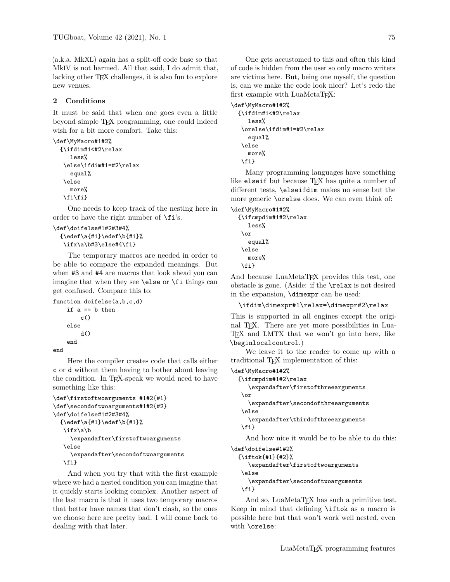(a.k.a. MkXL) again has a split-off code base so that MkIV is not harmed. All that said, I do admit that, lacking other TEX challenges, it is also fun to explore new venues.

# **2 Conditions**

It must be said that when one goes even a little beyond simple TEX programming, one could indeed wish for a bit more comfort. Take this:

```
\def\MyMacro#1#2%
  {\ifdim#1<#2\relax
     less%
   \else\ifdim#1=#2\relax
     equal%
   \else
     more%
   \fi\fi}
```
One needs to keep track of the nesting here in order to have the right number of \fi's.

```
\def\doifelse#1#2#3#4%
  {\edef\a{#1}\edef\b{#1}%
   \ifx\a\b#3\else#4\fi}
```
The temporary macros are needed in order to be able to compare the expanded meanings. But when #3 and #4 are macros that look ahead you can imagine that when they see \else or \fi things can get confused. Compare this to:

```
function doifelse(a,b,c,d)
    if a == b then
        c()else
        d()end
```
end

Here the compiler creates code that calls either c or d without them having to bother about leaving the condition. In T<sub>E</sub>X-speak we would need to have something like this:

```
\def\firstoftwoarguments #1#2{#1}
\def\secondoftwoarguments#1#2{#2}
\def\doifelse#1#2#3#4%
  \{\edof\a{#1}\cdot\;\ifx\a\b
     \expandafter\firstoftwoarguments
   \else
     \expandafter\secondoftwoarguments
   \fi}
```
And when you try that with the first example where we had a nested condition you can imagine that it quickly starts looking complex. Another aspect of the last macro is that it uses two temporary macros that better have names that don't clash, so the ones we choose here are pretty bad. I will come back to dealing with that later.

One gets accustomed to this and often this kind of code is hidden from the user so only macro writers are victims here. But, being one myself, the question is, can we make the code look nicer? Let's redo the first example with LuaMetaTFX:

```
\def\MyMacro#1#2%
  {\ifdim#1<#2\relax
     less%
   \orelse\ifdim#1=#2\relax
     equal%
   \else
     more%
   \fi}
```
Many programming languages have something like elseif but because TFX has quite a number of different tests, \elseifdim makes no sense but the more generic \orelse does. We can even think of:

```
\def\MyMacro#1#2%
```

```
{\ifcmpdim#1#2\relax
  less%
 \or
  equal%
 \else
  more%
 \fi}
```
And because LuaMetaT<sub>E</sub>X provides this test, one obstacle is gone. (Aside: if the \relax is not desired in the expansion, \dimexpr can be used:

```
\ifdim\dimexpr#1\relax=\dimexpr#2\relax
```
This is supported in all engines except the original TEX. There are yet more possibilities in Lua-TEX and LMTX that we won't go into here, like \beginlocalcontrol.)

We leave it to the reader to come up with a traditional TEX implementation of this:

```
\def\MyMacro#1#2%
```

```
{\ifcmpdim#1#2\relax
   \expandafter\firstofthreearguments
 \or
   \expandafter\secondofthreearguments
 \else
  \expandafter\thirdofthreearguments
 \fi}
  And how nice it would be to be able to do this:
```

```
\def\doifelse#1#2%
  {\iftok{#1}{#2}%
     \expandafter\firstoftwoarguments
   \else
     \expandafter\secondoftwoarguments
   \fi}
```
And so, LuaMetaT<sub>EX</sub> has such a primitive test. Keep in mind that defining \iftok as a macro is possible here but that won't work well nested, even with \orelse: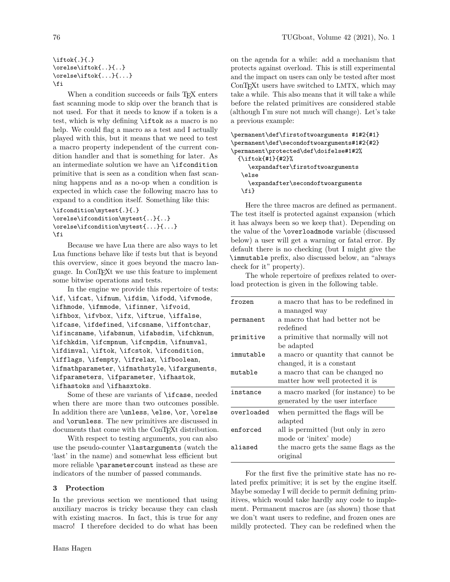```
\iftok{.}{.}
\orelse\iftok{..}{..}
\orelse\iftok{...}{...}
\fi
```
When a condition succeeds or fails T<sub>EX</sub> enters fast scanning mode to skip over the branch that is not used. For that it needs to know if a token is a test, which is why defining \iftok as a macro is no help. We could flag a macro as a test and I actually played with this, but it means that we need to test a macro property independent of the current condition handler and that is something for later. As an intermediate solution we have an \ifcondition primitive that is seen as a condition when fast scanning happens and as a no-op when a condition is expected in which case the following macro has to expand to a condition itself. Something like this:

```
\ifcondition\mytest{.}{.}
\orelse\ifcondition\mytest{..}{..}
\orelse\ifcondition\mytest{...}{...}
\fi
```
Because we have Lua there are also ways to let Lua functions behave like if tests but that is beyond this overview, since it goes beyond the macro language. In ConTEXt we use this feature to implement some bitwise operations and tests.

In the engine we provide this repertoire of tests: \if, \ifcat, \ifnum, \ifdim, \ifodd, \ifvmode, \ifhmode, \ifmmode, \ifinner, \ifvoid, \ifhbox, \ifvbox, \ifx, \iftrue, \iffalse, \ifcase, \ifdefined, \ifcsname, \iffontchar, \ifincsname, \ifabsnum, \ifabsdim, \ifchknum, \ifchkdim, \ifcmpnum, \ifcmpdim, \ifnumval, \ifdimval, \iftok, \ifcstok, \ifcondition, \ifflags, \ifempty, \ifrelax, \ifboolean, \ifmathparameter, \ifmathstyle, \ifarguments, \ifparameters, \ifparameter, \ifhastok, \ifhastoks and \ifhasxtoks.

Some of these are variants of \ifcase, needed when there are more than two outcomes possible. In addition there are \unless, \else, \or, \orelse and \orunless. The new primitives are discussed in documents that come with the ConTEXt distribution.

With respect to testing arguments, you can also use the pseudo-counter \lastarguments (watch the 'last' in the name) and somewhat less efficient but more reliable \parametercount instead as these are indicators of the number of passed commands.

### **3 Protection**

In the previous section we mentioned that using auxiliary macros is tricky because they can clash with existing macros. In fact, this is true for any macro! I therefore decided to do what has been

on the agenda for a while: add a mechanism that protects against overload. This is still experimental and the impact on users can only be tested after most ConT<sub>F</sub>X<sub>t</sub> users have switched to LMTX, which may take a while. This also means that it will take a while before the related primitives are considered stable (although I'm sure not much will change). Let's take a previous example:

```
\permanent\def\firstoftwoarguments #1#2{#1}
\permanent\def\secondoftwoarguments#1#2{#2}
\permanent\protected\def\doifelse#1#2%
  {\iftok{#1}{#2}%
     \expandafter\firstoftwoarguments
   \else
     \expandafter\secondoftwoarguments
  \fi}
```
Here the three macros are defined as permanent. The test itself is protected against expansion (which it has always been so we keep that). Depending on the value of the \overloadmode variable (discussed below) a user will get a warning or fatal error. By default there is no checking (but I might give the \immutable prefix, also discussed below, an "always check for it" property).

The whole repertoire of prefixes related to overload protection is given in the following table.

| frozen     | a macro that has to be redefined in  |
|------------|--------------------------------------|
|            | a managed way                        |
| permanent  | a macro that had better not be       |
|            | redefined                            |
| primitive  | a primitive that normally will not   |
|            | be adapted                           |
| immutable  | a macro or quantity that cannot be   |
|            | changed, it is a constant            |
| mutable    | a macro that can be changed no       |
|            | matter how well protected it is      |
| instance   | a macro marked (for instance) to be  |
|            | generated by the user interface      |
| overloaded | when permitted the flags will be     |
|            | adapted                              |
| enforced   | all is permitted (but only in zero   |
|            | mode or 'initex' mode)               |
| aliased    | the macro gets the same flags as the |
|            | original                             |
|            |                                      |

For the first five the primitive state has no related prefix primitive; it is set by the engine itself. Maybe someday I will decide to permit defining primitives, which would take hardly any code to implement. Permanent macros are (as shown) those that we don't want users to redefine, and frozen ones are mildly protected. They can be redefined when the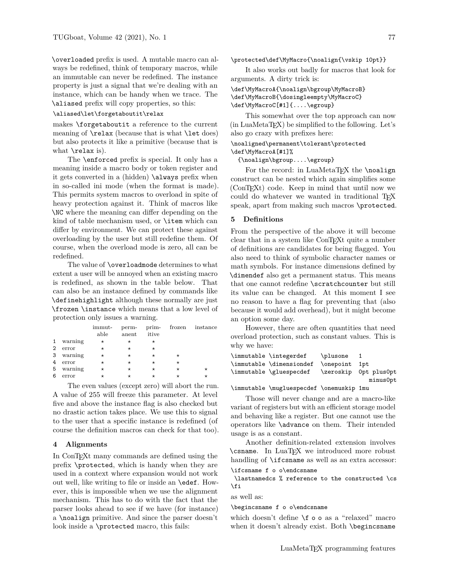\overloaded prefix is used. A mutable macro can always be redefined, think of temporary macros, while an immutable can never be redefined. The instance property is just a signal that we're dealing with an instance, which can be handy when we trace. The \aliased prefix will copy properties, so this:

### \aliased\let\forgetaboutit\relax

makes \forgetaboutit a reference to the current meaning of  $\relax{\text{because that is what } \let does}$ but also protects it like a primitive (because that is what  $\text{relax}$  is).

The \enforced prefix is special. It only has a meaning inside a macro body or token register and it gets converted in a (hidden) \always prefix when in so-called ini mode (when the format is made). This permits system macros to overload in spite of heavy protection against it. Think of macros like \NC where the meaning can differ depending on the kind of table mechanism used, or \item which can differ by environment. We can protect these against overloading by the user but still redefine them. Of course, when the overload mode is zero, all can be redefined.

The value of \overloadmode determines to what extent a user will be annoyed when an existing macro is redefined, as shown in the table below. That can also be an instance defined by commands like \definehighlight although these normally are just \frozen \instance which means that a low level of protection only issues a warning.

|              |         | immut-<br>able | anent    | itive    |          | perm- prim- frozen instance |
|--------------|---------|----------------|----------|----------|----------|-----------------------------|
| $\mathbf{1}$ | warning | $^\star$       | $^\star$ | $^\star$ |          |                             |
| 2            | error   | $^\star$       | $^\star$ | $^\star$ |          |                             |
| 3            | warning | $^\star$       | $^\star$ | $^\star$ | $^\star$ |                             |
| 4            | error   | $^\star$       | $^\star$ | $^\star$ | $^\star$ |                             |
| 5            | warning | $^\star$       | $^\star$ | $^\star$ | $^\star$ | $^\star$                    |
| 6            | error   |                |          | *        |          | $^\star$                    |
|              |         |                |          |          |          |                             |

The even values (except zero) will abort the run. A value of 255 will freeze this parameter. At level five and above the instance flag is also checked but no drastic action takes place. We use this to signal to the user that a specific instance is redefined (of course the definition macros can check for that too).

## **4 Alignments**

In ConTEXt many commands are defined using the prefix \protected, which is handy when they are used in a context where expansion would not work out well, like writing to file or inside an \edef. However, this is impossible when we use the alignment mechanism. This has to do with the fact that the parser looks ahead to see if we have (for instance) a \noalign primitive. And since the parser doesn't look inside a \protected macro, this fails:

\protected\def\MyMacro{\noalign{\vskip 10pt}}

It also works out badly for macros that look for arguments. A dirty trick is:

### \def\MyMacroA{\noalign\bgroup\MyMacroB} \def\MyMacroB{\dosingleempty\MyMacroC} \def\MyMacroC[#1]{....\egroup}

This somewhat over the top approach can now (in LuaMetaTEX) be simplified to the following. Let's also go crazy with prefixes here:

### \noaligned\permanent\tolerant\protected \def\MyMacroA[#1]%

{\noalign\bgroup....\egroup}

For the record: in LuaMetaTFX the \noalign construct can be nested which again simplifies some (ConTEXt) code. Keep in mind that until now we could do whatever we wanted in traditional TEX speak, apart from making such macros \protected.

### **5 Definitions**

From the perspective of the above it will become clear that in a system like ConTEXt quite a number of definitions are candidates for being flagged. You also need to think of symbolic character names or math symbols. For instance dimensions defined by \dimendef also get a permanent status. This means that one cannot redefine \scratchcounter but still its value can be changed. At this moment I see no reason to have a flag for preventing that (also because it would add overhead), but it might become an option some day.

However, there are often quantities that need overload protection, such as constant values. This is why we have:

| \immutable \integerdef                 | \plusone 1 |                       |
|----------------------------------------|------------|-----------------------|
| \immutable \dimensiondef \onepoint 1pt |            |                       |
| \immutable \gluespecdef                |            | \zeroskip Opt plusOpt |
|                                        |            | minus0pt              |

\immutable \mugluespecdef \onemuskip 1mu

Those will never change and are a macro-like variant of registers but with an efficient storage model and behaving like a register. But one cannot use the operators like \advance on them. Their intended usage is as a constant.

Another definition-related extension involves \csname. In LuaTEX we introduced more robust handling of \ifcsname as well as an extra accessor: \ifcsname f o o\endcsname

\lastnamedcs % reference to the constructed \cs \fi

as well as:

#### \begincsname f o o\endcsname

which doesn't define \f o o as a "relaxed" macro when it doesn't already exist. Both \begincsname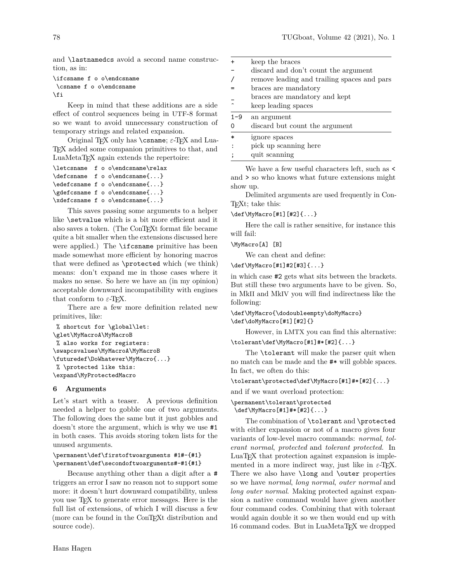and \lastnamedcs avoid a second name construction, as in:

```
\ifcsname f o o\endcsname
\csname f o o\endcsname
\fi
```
Keep in mind that these additions are a side effect of control sequences being in UTF-8 format so we want to avoid unnecessary construction of temporary strings and related expansion.

Original TEX only has \csname; *ε*-TEX and Lua-TEX added some companion primitives to that, and LuaMetaTEX again extends the repertoire:

```
\letcsname f o o\endcsname\relax
\defcsname f o o\endcsname{...}
\edefcsname f o o\endcsname{...}
\gdefcsname f o o\endcsname{...}
\xdefcsname f o o\endcsname{...}
```
This saves passing some arguments to a helper like **\setvalue** which is a bit more efficient and it also saves a token. (The ConTEXt format file became quite a bit smaller when the extensions discussed here were applied.) The \ifcsname primitive has been made somewhat more efficient by honoring macros that were defined as \protected which (we think) means: don't expand me in those cases where it makes no sense. So here we have an (in my opinion) acceptable downward incompatibility with engines that conform to  $\varepsilon$ -T<sub>E</sub>X.

There are a few more definition related new primitives, like:

```
% shortcut for \global\let:
\glet\MyMacroA\MyMacroB
% also works for registers:
\swapcsvalues\MyMacroA\MyMacroB
\futuredef\DoWhatever\MyMacro{...}
% \protected like this:
\expand\MyProtectedMacro
```
#### **6 Arguments**

Let's start with a teaser. A previous definition needed a helper to gobble one of two arguments. The following does the same but it just gobbles and doesn't store the argument, which is why we use #1 in both cases. This avoids storing token lists for the unused arguments.

### \permanent\def\firstoftwoarguments #1#-{#1} \permanent\def\secondoftwoarguments#-#1{#1}

Because anything other than a digit after a # triggers an error I saw no reason not to support some more: it doesn't hurt downward compatibility, unless you use TEX to generate error messages. Here is the full list of extensions, of which I will discuss a few (more can be found in the ConT<sub>E</sub>Xt distribution and source code).

|         | keep the braces                             |
|---------|---------------------------------------------|
|         | discard and don't count the argument        |
|         | remove leading and trailing spaces and pars |
|         | braces are mandatory                        |
|         | braces are mandatory and kept               |
|         | keep leading spaces                         |
| $1 - 9$ |                                             |
|         | an argument                                 |
|         | discard but count the argument              |
| $\ast$  | ignore spaces                               |
|         | pick up scanning here                       |

We have a few useful characters left, such as  $\lt$ and > so who knows what future extensions might show up.

Delimited arguments are used frequently in Con-TEXt; take this:

\def\MyMacro[#1][#2]{...}

Here the call is rather sensitive, for instance this will fail:

\MyMacro[A] [B]

We can cheat and define:

\def\MyMacro[#1]#2[#3]{...}

in which case #2 gets what sits between the brackets. But still these two arguments have to be given. So, in MkII and MkIV you will find indirectness like the following:

\def\MyMacro{\dodoubleempty\doMyMacro} \def\doMyMacro[#1][#2]{}

However, in LMTX you can find this alternative: \tolerant\def\MyMacro[#1]#\*[#2]{...}

The **\tolerant** will make the parser quit when no match can be made and the #\* will gobble spaces. In fact, we often do this:

\tolerant\protected\def\MyMacro[#1]#\*[#2]{...}

and if we want overload protection:

\permanent\tolerant\protected \def\MyMacro[#1]#\*[#2]{...}

The combination of \tolerant and \protected with either expansion or not of a macro gives four variants of low-level macro commands: *normal*, *tolerant normal*, *protected* and *tolerant protected*. In LuaTEX that protection against expansion is implemented in a more indirect way, just like in  $\varepsilon$ -T<sub>E</sub>X. There we also have **\long** and **\outer** properties so we have *normal*, *long normal*, *outer normal* and *long outer normal*. Making protected against expansion a native command would have given another four command codes. Combining that with tolerant would again double it so we then would end up with 16 command codes. But in LuaMetaTEX we dropped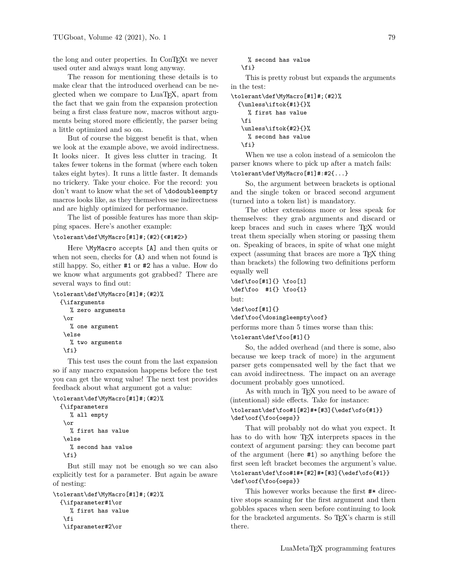the long and outer properties. In ConTEXt we never used outer and always want long anyway.

The reason for mentioning these details is to make clear that the introduced overhead can be neglected when we compare to LuaTEX, apart from the fact that we gain from the expansion protection being a first class feature now, macros without arguments being stored more efficiently, the parser being a little optimized and so on.

But of course the biggest benefit is that, when we look at the example above, we avoid indirectness. It looks nicer. It gives less clutter in tracing. It takes fewer tokens in the format (where each token takes eight bytes). It runs a little faster. It demands no trickery. Take your choice. For the record: you don't want to know what the set of \dodoubleempty macros looks like, as they themselves use indirectness and are highly optimized for performance.

The list of possible features has more than skipping spaces. Here's another example:

#### \tolerant\def\MyMacro[#1]#;(#2){<#1#2>}

Here \MyMacro accepts [A] and then quits or when not seen, checks for (A) and when not found is still happy. So, either #1 or #2 has a value. How do we know what arguments got grabbed? There are several ways to find out:

```
\tolerant\def\MyMacro[#1]#;(#2)%
  {\ifarguments
     % zero arguments
   \or
     % one argument
   \else
     % two arguments
   \fi}
```
This test uses the count from the last expansion so if any macro expansion happens before the test you can get the wrong value! The next test provides feedback about what argument got a value:

```
\tolerant\def\MyMacro[#1]#;(#2)%
  {\ifparameters
     % all empty
   \or
```

```
% first has value
\else
  % second has value
\{f_i\}
```
But still may not be enough so we can also explicitly test for a parameter. But again be aware of nesting:

```
\tolerant\def\MyMacro[#1]#;(#2)%
  {\ifparameter#1\or
     % first has value
   \fi
   \ifparameter#2\or
```

```
% second has value
\fi}
```
This is pretty robust but expands the arguments in the test:

```
\tolerant\def\MyMacro[#1]#;(#2)%
  {\unless\iftok{#1}{}%
     % first has value
   \fi
   \unless\iftok{#2}{}%
     % second has value
   \fi}
```
When we use a colon instead of a semicolon the parser knows where to pick up after a match fails:

### \tolerant\def\MyMacro[#1]#:#2{...}

So, the argument between brackets is optional and the single token or braced second argument (turned into a token list) is mandatory.

The other extensions more or less speak for themselves: they grab arguments and discard or keep braces and such in cases where TEX would treat them specially when storing or passing them on. Speaking of braces, in spite of what one might expect (assuming that braces are more a T<sub>EX</sub> thing than brackets) the following two definitions perform equally well

```
\def\foo[#1]{} \foo[1]
\def\foo #1{} \foo{1}
but:
\def\oof[#1]{}
\def\foo{\dosingleempty\oof}
```
performs more than 5 times worse than this:

\tolerant\def\foo[#1]{}

So, the added overhead (and there is some, also because we keep track of more) in the argument parser gets compensated well by the fact that we can avoid indirectness. The impact on an average document probably goes unnoticed.

As with much in TFX you need to be aware of (intentional) side effects. Take for instance:

### \tolerant\def\foo#1[#2]#\*[#3]{\edef\ofo{#1}} \def\oof{\foo{oeps}}

That will probably not do what you expect. It has to do with how T<sub>E</sub>X interprets spaces in the context of argument parsing: they can become part of the argument (here #1) so anything before the first seen left bracket becomes the argument's value. \tolerant\def\foo#1#\*[#2]#\*[#3]{\edef\ofo{#1}} \def\oof{\foo{oeps}}

This however works because the first #\* directive stops scanning for the first argument and then gobbles spaces when seen before continuing to look for the bracketed arguments. So TEX's charm is still there.